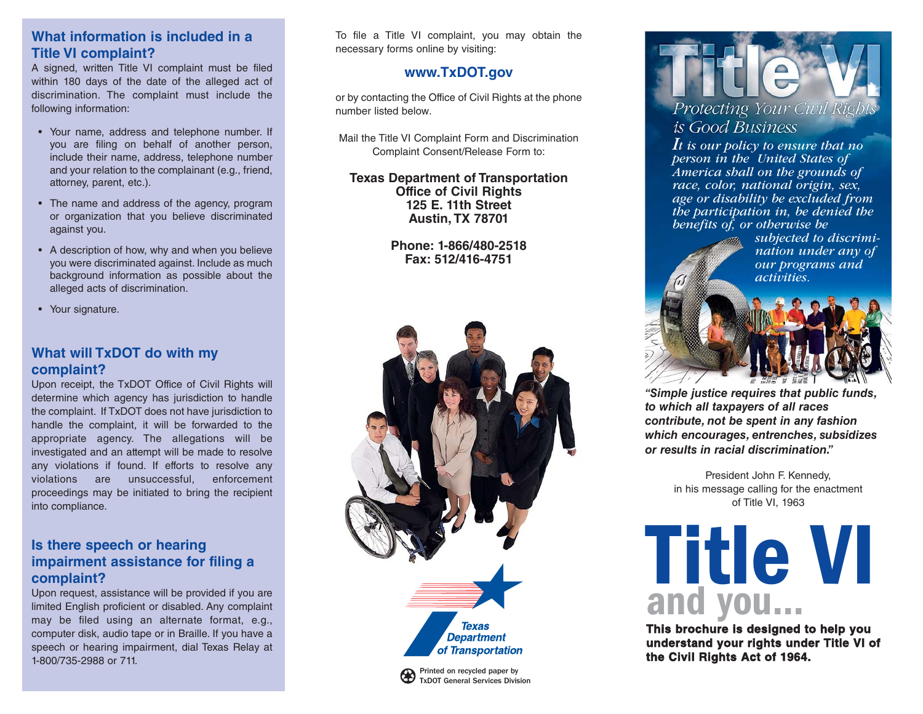# **What information is included in a Title VI complaint?**

A signed, written Title VI complaint must be filed within 180 days of the date of the alleged act of discrimination. The complaint must include the following information:

- Your name, address and telephone number. If you are filing on behalf of another person, include their name, address, telephone number and your relation to the complainant (e.g., friend, attorney, parent, etc.).
- The name and address of the agency, program or organization that you believe discriminated against you.
- A description of how, why and when you believe you were discriminated against. Include as much background information as possible about the alleged acts of discrimination.
- Your signature.

# **What will TxDOT do with my complaint?**

Upon receipt, the TxDOT Office of Civil Rights will determine which agency has jurisdiction to handle the complaint. If TxDOT does not have jurisdiction to handle the complaint, it will be forwarded to the appropriate agency. The allegations will be investigated and an attempt will be made to resolve any violations if found. If efforts to resolve any violations are unsuccessful, enforcement proceedings may be initiated to bring the recipient into compliance.

#### **Is there speech or hearing impairment assistance for filing a complaint?**

Upon request, assistance will be provided if you are limited English proficient or disabled. Any complaint may be filed using an alternate format, e.g., computer disk, audio tape or in Braille. If you have a speech or hearing impairment, dial Texas Relay at 1-800/735-2988 or 711.

To file a Title VI complaint, you may obtain the necessary forms online by visiting:

#### **www.TxDOT.gov**

or by contacting the Office of Civil Rights at the phone number listed below.

Mail the Title VI Complaint Form and Discrimination Complaint Consent/Release Form to:

**Texas Department of Transportation Office of Civil Rights 125 E. 11th Street Austin, TX 78701**

> **Phone: 1-866/480-2518 Fax: 512/416-4751**



Protecting Your Civil Rights

# is Good Business

*It is our policy to ensure that no person in the United States of America shall on the grounds of race, color, national origin, sex, age or disability be excluded from the participation in, be denied the benefits of, or otherwise be*

*subjected to discrimination under any of our programs and activities.*



*"Simple justice requires that public funds, to which all taxpayers of all races contribute, not be spent in any fashion which encourages, entrenches, subsidizes or results in racial discrimination."*

> President John F. Kennedy, in his message calling for the enactment of Title VI, 1963



**This brochure is designed to help you understand your rights under Title VI of the Civil Rights Act of 1964.**